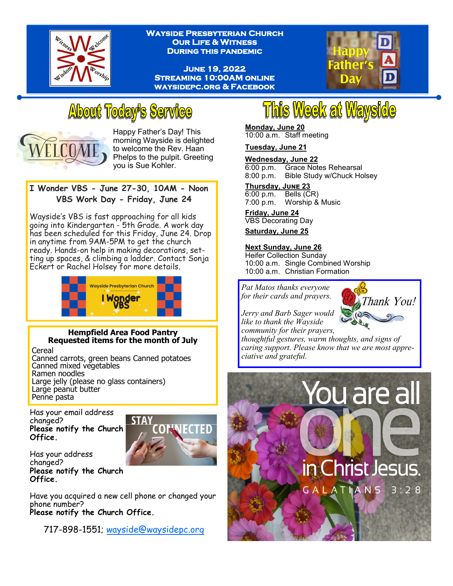

**Wayside Presbyterian Church Our Life & Witness During this pandemic** 

**June 19, 2022 Streaming 10:00AM online waysidepc.org & Facebook** 



## **About Today's Service**



Happy Father's Day! This morning Wayside is delighted to welcome the Rev. Haan Phelps to the pulpit. Greeting you is Sue Kohler.

## **I Wonder VBS - June 27-30, 10AM - Noon VBS Work Day - Friday, June 24**

Wayside's VBS is fast approaching for all kids going into Kindergarten - 5th Grade. A work day has been scheduled for this Friday, June 24. Drop in anytime from 9AM-5PM to get the church ready. Hands-on help in making decorations, setting up spaces, & climbing a ladder. Contact Sonja Eckert or Rachel Holsey for more details.



## **Hempfield Area Food Pantry Requested items for the month of July**

Cereal

Canned carrots, green beans Canned potatoes Canned mixed vegetables Ramen noodles Large jelly (please no glass containers) Large peanut butter Penne pasta

Has your email address changed? **Please notify the Church Office.** 



Has your address changed? **Please notify the Church Office.** 

Have you acquired a new cell phone or changed your phone number? **Please notify the Church Office.** 

717-898-1551; [wayside@waysidepc.org](mailto:wayside@waysidepc.org)

# **This Week at Wayside**

#### **Monday, June 20** 10:00 a.m. Staff meeting

**Tuesday, June 21**

**Wednesday, June 22**

6:00 p.m. Grace Notes Rehearsal 8:00 p.m. Bible Study w/Chuck Holsey

**Thursday, June 23** 6:00 p.m. Bells (CR)

7:00 p.m. Worship & Music

**Friday, June 24** VBS Decorating Day

**Saturday, June 25**

## **Next Sunday, June 26**

Heifer Collection Sunday 10:00 a.m. Single Combined Worship 10:00 a.m. Christian Formation

*Pat Matos thanks everyone for their cards and prayers.* 



*Jerry and Barb Sager would like to thank the Wayside community for their prayers,* 

*thoughtful gestures, warm thoughts, and signs of caring support. Please know that we are most appreciative and grateful.*